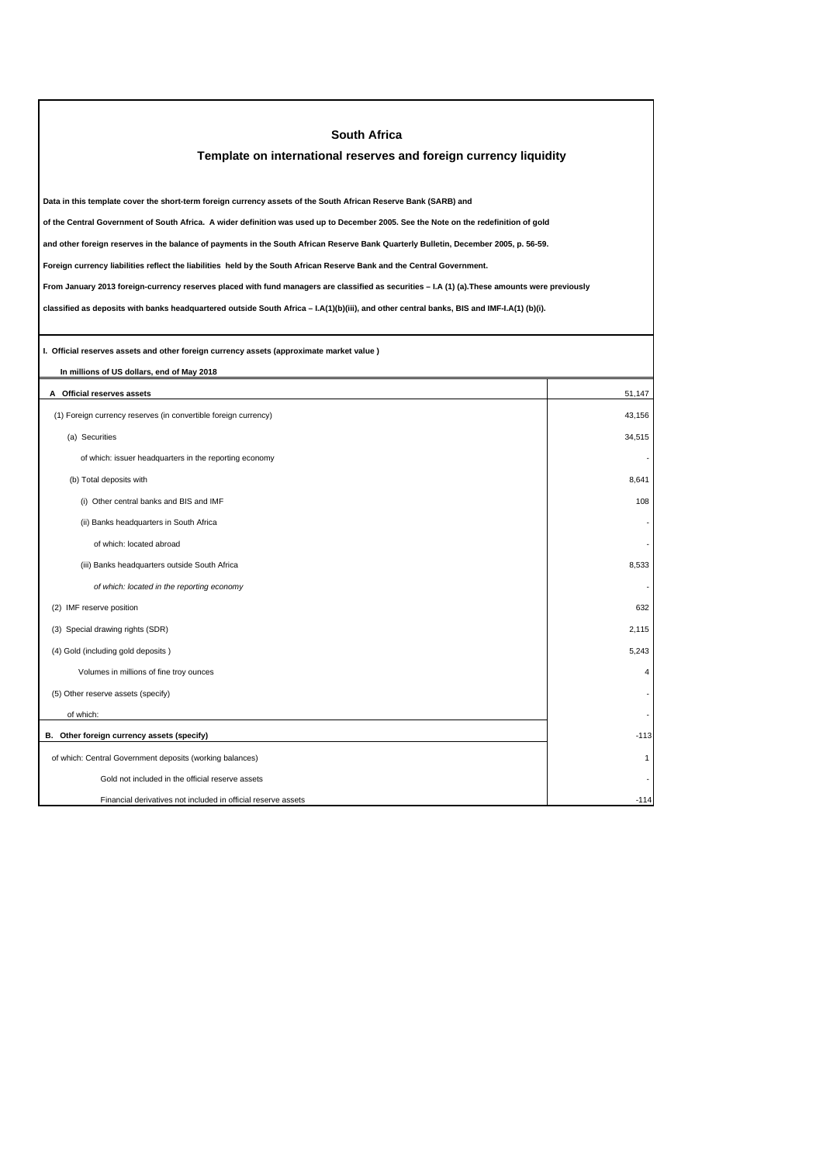| <b>South Africa</b>                                                                                                                             |                         |  |  |
|-------------------------------------------------------------------------------------------------------------------------------------------------|-------------------------|--|--|
| Template on international reserves and foreign currency liquidity                                                                               |                         |  |  |
|                                                                                                                                                 |                         |  |  |
| Data in this template cover the short-term foreign currency assets of the South African Reserve Bank (SARB) and                                 |                         |  |  |
| of the Central Government of South Africa. A wider definition was used up to December 2005. See the Note on the redefinition of gold            |                         |  |  |
| and other foreign reserves in the balance of payments in the South African Reserve Bank Quarterly Bulletin, December 2005, p. 56-59.            |                         |  |  |
| Foreign currency liabilities reflect the liabilities held by the South African Reserve Bank and the Central Government.                         |                         |  |  |
| From January 2013 foreign-currency reserves placed with fund managers are classified as securities - I.A (1) (a). These amounts were previously |                         |  |  |
| classified as deposits with banks headquartered outside South Africa - I.A(1)(b)(iii), and other central banks, BIS and IMF-I.A(1) (b)(i).      |                         |  |  |
|                                                                                                                                                 |                         |  |  |
| I. Official reserves assets and other foreign currency assets (approximate market value)                                                        |                         |  |  |
| In millions of US dollars, end of May 2018                                                                                                      |                         |  |  |
| A Official reserves assets                                                                                                                      | 51,147                  |  |  |
| (1) Foreign currency reserves (in convertible foreign currency)                                                                                 | 43.156                  |  |  |
| (a) Securities                                                                                                                                  | 34,515                  |  |  |
| of which: issuer headquarters in the reporting economy                                                                                          |                         |  |  |
| (b) Total deposits with                                                                                                                         | 8,641                   |  |  |
| (i) Other central banks and BIS and IMF                                                                                                         | 108                     |  |  |
| (ii) Banks headquarters in South Africa                                                                                                         |                         |  |  |
| of which: located abroad                                                                                                                        |                         |  |  |
| (iii) Banks headquarters outside South Africa                                                                                                   | 8,533                   |  |  |
| of which: located in the reporting economy                                                                                                      |                         |  |  |
| (2) IMF reserve position                                                                                                                        | 632                     |  |  |
| (3) Special drawing rights (SDR)                                                                                                                | 2,115                   |  |  |
| (4) Gold (including gold deposits)                                                                                                              | 5,243                   |  |  |
| Volumes in millions of fine troy ounces                                                                                                         | $\overline{\mathbf{4}}$ |  |  |
| (5) Other reserve assets (specify)                                                                                                              |                         |  |  |
| of which:                                                                                                                                       |                         |  |  |
| B. Other foreign currency assets (specify)                                                                                                      | $-113$                  |  |  |
| of which: Central Government deposits (working balances)                                                                                        | 1                       |  |  |
| Gold not included in the official reserve assets                                                                                                |                         |  |  |
| Financial derivatives not included in official reserve assets                                                                                   | $-114$                  |  |  |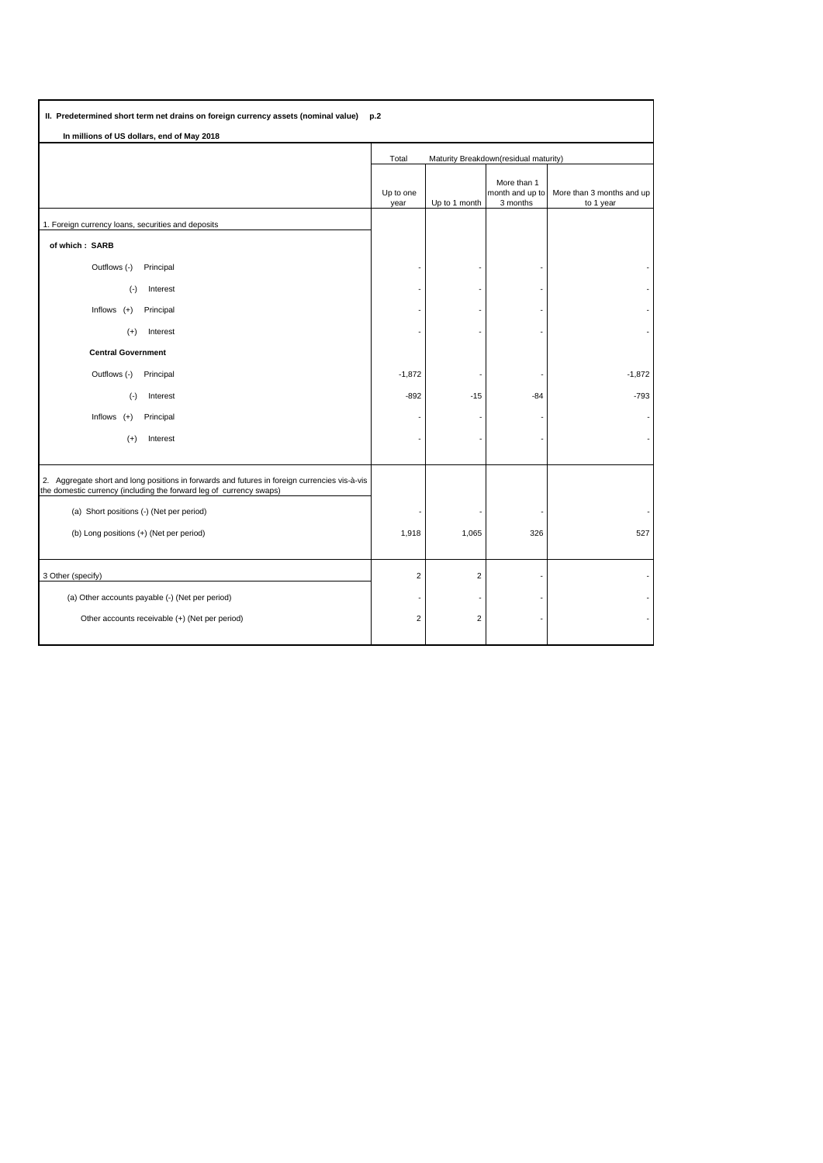| II. Predetermined short term net drains on foreign currency assets (nominal value) p.2                                                                               |                                                |                |                                            |                                        |  |
|----------------------------------------------------------------------------------------------------------------------------------------------------------------------|------------------------------------------------|----------------|--------------------------------------------|----------------------------------------|--|
| In millions of US dollars, end of May 2018                                                                                                                           |                                                |                |                                            |                                        |  |
|                                                                                                                                                                      | Maturity Breakdown(residual maturity)<br>Total |                |                                            |                                        |  |
|                                                                                                                                                                      | Up to one<br>year                              | Up to 1 month  | More than 1<br>month and up to<br>3 months | More than 3 months and up<br>to 1 year |  |
| 1. Foreign currency loans, securities and deposits                                                                                                                   |                                                |                |                                            |                                        |  |
| of which: SARB                                                                                                                                                       |                                                |                |                                            |                                        |  |
| Outflows (-)<br>Principal                                                                                                                                            |                                                |                |                                            |                                        |  |
| $(\cdot)$<br>Interest                                                                                                                                                |                                                |                |                                            |                                        |  |
| Inflows $(+)$<br>Principal                                                                                                                                           |                                                |                |                                            |                                        |  |
| Interest<br>$(+)$                                                                                                                                                    |                                                |                |                                            |                                        |  |
| <b>Central Government</b>                                                                                                                                            |                                                |                |                                            |                                        |  |
| Outflows (-)<br>Principal                                                                                                                                            | $-1,872$                                       |                |                                            | $-1,872$                               |  |
| Interest<br>$(\cdot)$                                                                                                                                                | $-892$                                         | $-15$          | $-84$                                      | $-793$                                 |  |
| Inflows<br>Principal<br>$(+)$                                                                                                                                        |                                                |                |                                            |                                        |  |
| $(+)$<br>Interest                                                                                                                                                    |                                                |                |                                            |                                        |  |
|                                                                                                                                                                      |                                                |                |                                            |                                        |  |
| 2. Aggregate short and long positions in forwards and futures in foreign currencies vis-à-vis<br>the domestic currency (including the forward leg of currency swaps) |                                                |                |                                            |                                        |  |
| (a) Short positions (-) (Net per period)                                                                                                                             |                                                |                |                                            |                                        |  |
| (b) Long positions (+) (Net per period)                                                                                                                              | 1,918                                          | 1,065          | 326                                        | 527                                    |  |
| 3 Other (specify)                                                                                                                                                    | $\overline{2}$                                 | $\overline{2}$ |                                            |                                        |  |
| (a) Other accounts payable (-) (Net per period)                                                                                                                      |                                                |                |                                            |                                        |  |
| Other accounts receivable (+) (Net per period)                                                                                                                       | $\overline{2}$                                 | $\overline{2}$ |                                            |                                        |  |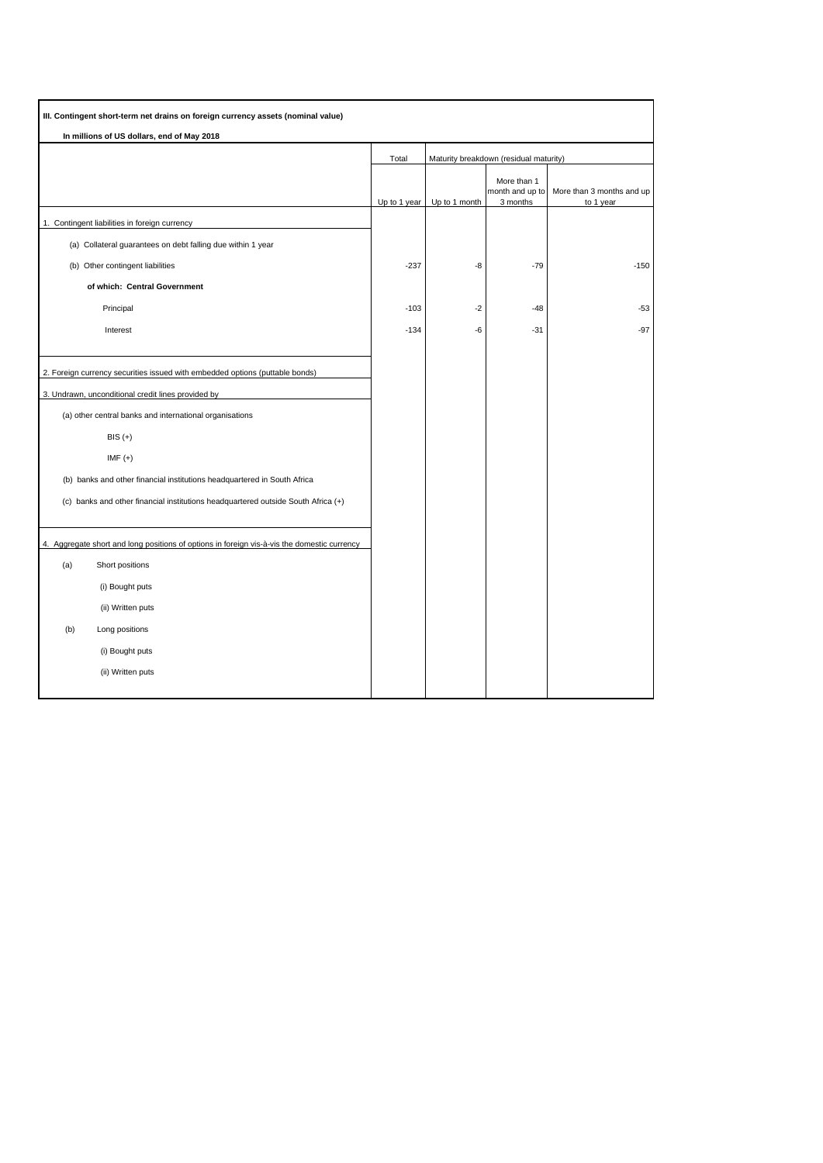| III. Contingent short-term net drains on foreign currency assets (nominal value) |                                                                                             |              |                                        |                                            |                                        |
|----------------------------------------------------------------------------------|---------------------------------------------------------------------------------------------|--------------|----------------------------------------|--------------------------------------------|----------------------------------------|
|                                                                                  | In millions of US dollars, end of May 2018                                                  |              |                                        |                                            |                                        |
|                                                                                  |                                                                                             | Total        | Maturity breakdown (residual maturity) |                                            |                                        |
|                                                                                  |                                                                                             | Up to 1 year | Up to 1 month                          | More than 1<br>month and up to<br>3 months | More than 3 months and up<br>to 1 year |
|                                                                                  | 1. Contingent liabilities in foreign currency                                               |              |                                        |                                            |                                        |
|                                                                                  | (a) Collateral guarantees on debt falling due within 1 year                                 |              |                                        |                                            |                                        |
|                                                                                  | (b) Other contingent liabilities                                                            | $-237$       | -8                                     | $-79$                                      | $-150$                                 |
|                                                                                  | of which: Central Government                                                                |              |                                        |                                            |                                        |
|                                                                                  | Principal                                                                                   | $-103$       | $-2$                                   | $-48$                                      | -53                                    |
|                                                                                  | Interest                                                                                    | $-134$       | -6                                     | $-31$                                      | $-97$                                  |
|                                                                                  |                                                                                             |              |                                        |                                            |                                        |
|                                                                                  | 2. Foreign currency securities issued with embedded options (puttable bonds)                |              |                                        |                                            |                                        |
|                                                                                  | 3. Undrawn, unconditional credit lines provided by                                          |              |                                        |                                            |                                        |
|                                                                                  | (a) other central banks and international organisations                                     |              |                                        |                                            |                                        |
|                                                                                  | $BIS (+)$                                                                                   |              |                                        |                                            |                                        |
|                                                                                  | IMF $(+)$                                                                                   |              |                                        |                                            |                                        |
| (b) banks and other financial institutions headquartered in South Africa         |                                                                                             |              |                                        |                                            |                                        |
|                                                                                  | (c) banks and other financial institutions headquartered outside South Africa (+)           |              |                                        |                                            |                                        |
|                                                                                  |                                                                                             |              |                                        |                                            |                                        |
|                                                                                  | 4. Aggregate short and long positions of options in foreign vis-à-vis the domestic currency |              |                                        |                                            |                                        |
| (a)                                                                              | Short positions                                                                             |              |                                        |                                            |                                        |
|                                                                                  | (i) Bought puts                                                                             |              |                                        |                                            |                                        |
|                                                                                  | (ii) Written puts                                                                           |              |                                        |                                            |                                        |
| (b)                                                                              | Long positions                                                                              |              |                                        |                                            |                                        |
|                                                                                  | (i) Bought puts                                                                             |              |                                        |                                            |                                        |
|                                                                                  | (ii) Written puts                                                                           |              |                                        |                                            |                                        |
|                                                                                  |                                                                                             |              |                                        |                                            |                                        |